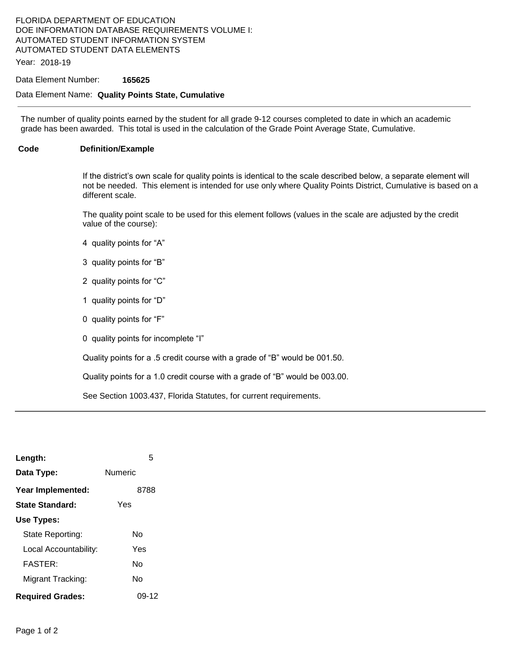# FLORIDA DEPARTMENT OF EDUCATION DOE INFORMATION DATABASE REQUIREMENTS VOLUME I: AUTOMATED STUDENT INFORMATION SYSTEM AUTOMATED STUDENT DATA ELEMENTS

Year: 2018-19

#### Data Element Number: **165625**

### Data Element Name: **Quality Points State, Cumulative**

The number of quality points earned by the student for all grade 9-12 courses completed to date in which an academic grade has been awarded. This total is used in the calculation of the Grade Point Average State, Cumulative.

#### **Code Definition/Example**

If the district's own scale for quality points is identical to the scale described below, a separate element will not be needed. This element is intended for use only where Quality Points District, Cumulative is based on a different scale.

The quality point scale to be used for this element follows (values in the scale are adjusted by the credit value of the course):

- 4 quality points for "A"
- 3 quality points for "B"
- 2 quality points for "C"
- 1 quality points for "D"
- 0 quality points for "F"
- 0 quality points for incomplete "I"

Quality points for a .5 credit course with a grade of "B" would be 001.50.

Quality points for a 1.0 credit course with a grade of "B" would be 003.00.

See Section 1003.437, Florida Statutes, for current requirements.

| Length:                 | 5       |
|-------------------------|---------|
| Data Type:              | Numeric |
| Year Implemented:       | 8788    |
| State Standard:         | Yes     |
| Use Types:              |         |
| State Reporting:        | N٥      |
| Local Accountability:   | Yes     |
| <b>FASTER:</b>          | N٥      |
| Migrant Tracking:       | N٥      |
| <b>Required Grades:</b> | 09-12   |